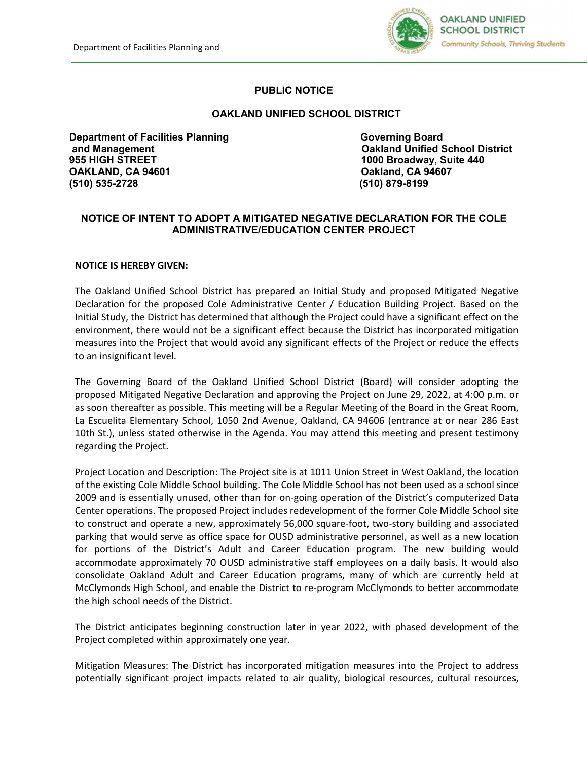Management



## **PUBLIC NOTICE**

## **OAKLAND UNIFIED SCHOOL DISTRICT**

**Department of Facilities Planning Converting Board Governing Board Convertional Board Convertions and Management Oakland Unified School District 955 HIGH STREET 1000 Broadway, Suite 440 OAKLAND, CA 94601 Oakland, CA 94607 (510) 535-2728 (510) 879-8199** 

## **NOTICE OF INTENT TO ADOPT A MITIGATED NEGATIVE DECLARATION FOR THE COLE ADMINISTRATIVE/EDUCATION CENTER PROJECT**

## **NOTICE IS HEREBY GIVEN:**

The Oakland Unified School District has prepared an Initial Study and proposed Mitigated Negative Declaration for the proposed Cole Administrative Center / Education Building Project. Based on the Initial Study, the District has determined that although the Project could have a significant effect on the environment, there would not be a significant effect because the District has incorporated mitigation measures into the Project that would avoid any significant effects of the Project or reduce the effects to an insignificant level.

The Governing Board of the Oakland Unified School District (Board) will consider adopting the proposed Mitigated Negative Declaration and approving the Project on June 29, 2022, at 4:00 p.m. or as soon thereafter as possible. This meeting will be a Regular Meeting of the Board in the Great Room, La Escuelita Elementary School, 1050 2nd Avenue, Oakland, CA 94606 (entrance at or near 286 East 10th St.), unless stated otherwise in the Agenda. You may attend this meeting and present testimony regarding the Project.

Project Location and Description: The Project site is at 1011 Union Street in West Oakland, the location of the existing Cole Middle School building. The Cole Middle School has not been used as a school since 2009 and is essentially unused, other than for on-going operation of the District's computerized Data Center operations. The proposed Project includes redevelopment of the former Cole Middle School site to construct and operate a new, approximately 56,000 square-foot, two-story building and associated parking that would serve as office space for OUSD administrative personnel, as well as a new location for portions of the District's Adult and Career Education program. The new building would accommodate approximately 70 OUSD administrative staff employees on a daily basis. It would also consolidate Oakland Adult and Career Education programs, many of which are currently held at McClymonds High School, and enable the District to re-program McClymonds to better accommodate the high school needs of the District.

The District anticipates beginning construction later in year 2022, with phased development of the Project completed within approximately one year.

Mitigation Measures: The District has incorporated mitigation measures into the Project to address potentially significant project impacts related to air quality, biological resources, cultural resources,